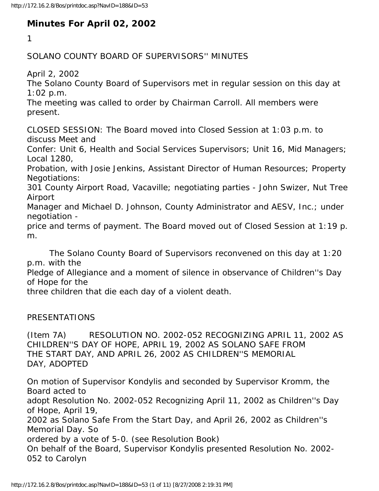## **Minutes For April 02, 2002**

1

SOLANO COUNTY BOARD OF SUPERVISORS'' MINUTES

April 2, 2002

The Solano County Board of Supervisors met in regular session on this day at 1:02 p.m.

The meeting was called to order by Chairman Carroll. All members were present.

CLOSED SESSION: The Board moved into Closed Session at 1:03 p.m. to discuss Meet and

Confer: Unit 6, Health and Social Services Supervisors; Unit 16, Mid Managers; Local 1280,

Probation, with Josie Jenkins, Assistant Director of Human Resources; Property Negotiations:

301 County Airport Road, Vacaville; negotiating parties - John Swizer, Nut Tree Airport

Manager and Michael D. Johnson, County Administrator and AESV, Inc.; under negotiation -

price and terms of payment. The Board moved out of Closed Session at 1:19 p. m.

 The Solano County Board of Supervisors reconvened on this day at 1:20 p.m. with the

Pledge of Allegiance and a moment of silence in observance of Children''s Day of Hope for the

three children that die each day of a violent death.

## PRESENTATIONS

(Item 7A) RESOLUTION NO. 2002-052 RECOGNIZING APRIL 11, 2002 AS CHILDREN''S DAY OF HOPE, APRIL 19, 2002 AS SOLANO SAFE FROM THE START DAY, AND APRIL 26, 2002 AS CHILDREN''S MEMORIAL DAY, ADOPTED

On motion of Supervisor Kondylis and seconded by Supervisor Kromm, the Board acted to adopt Resolution No. 2002-052 Recognizing April 11, 2002 as Children''s Day of Hope, April 19, 2002 as Solano Safe From the Start Day, and April 26, 2002 as Children''s Memorial Day. So ordered by a vote of 5-0. (see Resolution Book) On behalf of the Board, Supervisor Kondylis presented Resolution No. 2002- 052 to Carolyn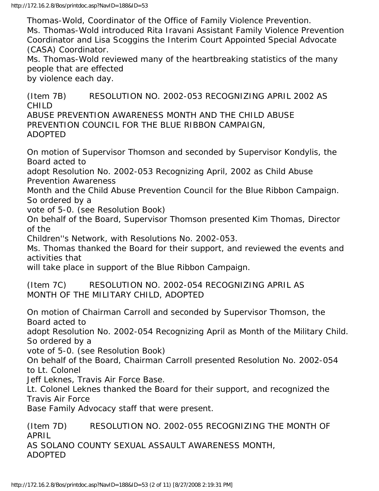Thomas-Wold, Coordinator of the Office of Family Violence Prevention. Ms. Thomas-Wold introduced Rita Iravani Assistant Family Violence Prevention Coordinator and Lisa Scoggins the Interim Court Appointed Special Advocate (CASA) Coordinator.

Ms. Thomas-Wold reviewed many of the heartbreaking statistics of the many people that are effected

by violence each day.

(Item 7B) RESOLUTION NO. 2002-053 RECOGNIZING APRIL 2002 AS CHILD ABUSE PREVENTION AWARENESS MONTH AND THE CHILD ABUSE PREVENTION COUNCIL FOR THE BLUE RIBBON CAMPAIGN, ADOPTED

On motion of Supervisor Thomson and seconded by Supervisor Kondylis, the Board acted to

adopt Resolution No. 2002-053 Recognizing April, 2002 as Child Abuse Prevention Awareness

Month and the Child Abuse Prevention Council for the Blue Ribbon Campaign. So ordered by a

vote of 5-0. (see Resolution Book)

On behalf of the Board, Supervisor Thomson presented Kim Thomas, Director of the

Children''s Network, with Resolutions No. 2002-053.

Ms. Thomas thanked the Board for their support, and reviewed the events and activities that

will take place in support of the Blue Ribbon Campaign.

(Item 7C) RESOLUTION NO. 2002-054 RECOGNIZING APRIL AS MONTH OF THE MILITARY CHILD, ADOPTED

On motion of Chairman Carroll and seconded by Supervisor Thomson, the Board acted to

adopt Resolution No. 2002-054 Recognizing April as Month of the Military Child. So ordered by a

vote of 5-0. (see Resolution Book)

On behalf of the Board, Chairman Carroll presented Resolution No. 2002-054 to Lt. Colonel

Jeff Leknes, Travis Air Force Base.

Lt. Colonel Leknes thanked the Board for their support, and recognized the Travis Air Force

Base Family Advocacy staff that were present.

(Item 7D) RESOLUTION NO. 2002-055 RECOGNIZING THE MONTH OF APRIL AS SOLANO COUNTY SEXUAL ASSAULT AWARENESS MONTH, ADOPTED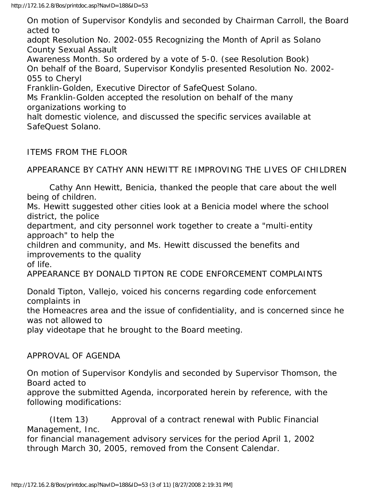On motion of Supervisor Kondylis and seconded by Chairman Carroll, the Board acted to adopt Resolution No. 2002-055 Recognizing the Month of April as Solano County Sexual Assault Awareness Month. So ordered by a vote of 5-0. (see Resolution Book) On behalf of the Board, Supervisor Kondylis presented Resolution No. 2002- 055 to Cheryl Franklin-Golden, Executive Director of SafeQuest Solano. Ms Franklin-Golden accepted the resolution on behalf of the many organizations working to halt domestic violence, and discussed the specific services available at SafeQuest Solano.

ITEMS FROM THE FLOOR

APPEARANCE BY CATHY ANN HEWITT RE IMPROVING THE LIVES OF CHILDREN

 Cathy Ann Hewitt, Benicia, thanked the people that care about the well being of children.

Ms. Hewitt suggested other cities look at a Benicia model where the school district, the police

department, and city personnel work together to create a "multi-entity approach" to help the

children and community, and Ms. Hewitt discussed the benefits and improvements to the quality

of life.

APPEARANCE BY DONALD TIPTON RE CODE ENFORCEMENT COMPLAINTS

Donald Tipton, Vallejo, voiced his concerns regarding code enforcement complaints in

the Homeacres area and the issue of confidentiality, and is concerned since he was not allowed to

play videotape that he brought to the Board meeting.

APPROVAL OF AGENDA

On motion of Supervisor Kondylis and seconded by Supervisor Thomson, the Board acted to

approve the submitted Agenda, incorporated herein by reference, with the following modifications:

 (Item 13) Approval of a contract renewal with Public Financial Management, Inc.

for financial management advisory services for the period April 1, 2002 through March 30, 2005, removed from the Consent Calendar.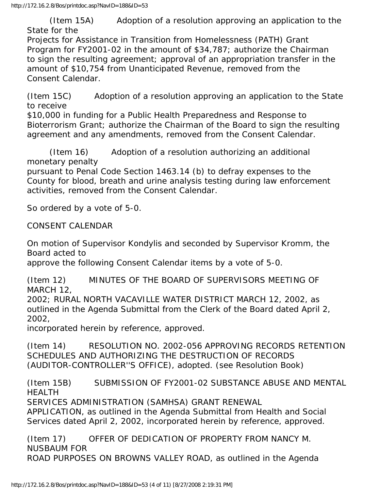(Item 15A) Adoption of a resolution approving an application to the State for the

Projects for Assistance in Transition from Homelessness (PATH) Grant Program for FY2001-02 in the amount of \$34,787; authorize the Chairman to sign the resulting agreement; approval of an appropriation transfer in the amount of \$10,754 from Unanticipated Revenue, removed from the Consent Calendar.

(Item 15C) Adoption of a resolution approving an application to the State to receive

\$10,000 in funding for a Public Health Preparedness and Response to Bioterrorism Grant; authorize the Chairman of the Board to sign the resulting agreement and any amendments, removed from the Consent Calendar.

 (Item 16) Adoption of a resolution authorizing an additional monetary penalty

pursuant to Penal Code Section 1463.14 (b) to defray expenses to the County for blood, breath and urine analysis testing during law enforcement activities, removed from the Consent Calendar.

So ordered by a vote of 5-0.

CONSENT CALENDAR

On motion of Supervisor Kondylis and seconded by Supervisor Kromm, the Board acted to

approve the following Consent Calendar items by a vote of 5-0.

(Item 12) MINUTES OF THE BOARD OF SUPERVISORS MEETING OF MARCH 12,

2002; RURAL NORTH VACAVILLE WATER DISTRICT MARCH 12, 2002, as outlined in the Agenda Submittal from the Clerk of the Board dated April 2, 2002,

incorporated herein by reference, approved.

(Item 14) RESOLUTION NO. 2002-056 APPROVING RECORDS RETENTION SCHEDULES AND AUTHORIZING THE DESTRUCTION OF RECORDS (AUDITOR-CONTROLLER''S OFFICE), adopted. (see Resolution Book)

(Item 15B) SUBMISSION OF FY2001-02 SUBSTANCE ABUSE AND MENTAL HEALTH

SERVICES ADMINISTRATION (SAMHSA) GRANT RENEWAL

APPLICATION, as outlined in the Agenda Submittal from Health and Social Services dated April 2, 2002, incorporated herein by reference, approved.

(Item 17) OFFER OF DEDICATION OF PROPERTY FROM NANCY M. NUSBAUM FOR ROAD PURPOSES ON BROWNS VALLEY ROAD, as outlined in the Agenda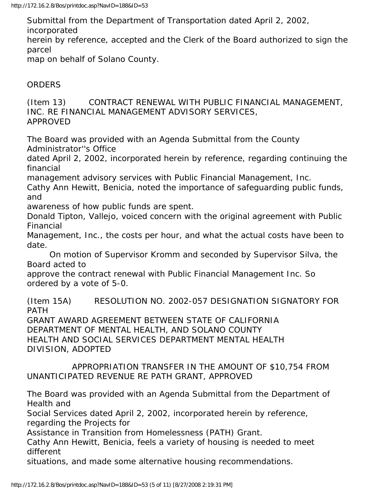Submittal from the Department of Transportation dated April 2, 2002, incorporated herein by reference, accepted and the Clerk of the Board authorized to sign the parcel map on behalf of Solano County.

## ORDERS

(Item 13) CONTRACT RENEWAL WITH PUBLIC FINANCIAL MANAGEMENT, INC. RE FINANCIAL MANAGEMENT ADVISORY SERVICES, APPROVED

The Board was provided with an Agenda Submittal from the County Administrator''s Office

dated April 2, 2002, incorporated herein by reference, regarding continuing the financial

management advisory services with Public Financial Management, Inc.

Cathy Ann Hewitt, Benicia, noted the importance of safeguarding public funds, and

awareness of how public funds are spent.

Donald Tipton, Vallejo, voiced concern with the original agreement with Public Financial

Management, Inc., the costs per hour, and what the actual costs have been to date.

 On motion of Supervisor Kromm and seconded by Supervisor Silva, the Board acted to

approve the contract renewal with Public Financial Management Inc. So ordered by a vote of 5-0.

(Item 15A) RESOLUTION NO. 2002-057 DESIGNATION SIGNATORY FOR PATH

GRANT AWARD AGREEMENT BETWEEN STATE OF CALIFORNIA DEPARTMENT OF MENTAL HEALTH, AND SOLANO COUNTY HEALTH AND SOCIAL SERVICES DEPARTMENT MENTAL HEALTH DIVISION, ADOPTED

## APPROPRIATION TRANSFER IN THE AMOUNT OF \$10,754 FROM UNANTICIPATED REVENUE RE PATH GRANT, APPROVED

The Board was provided with an Agenda Submittal from the Department of Health and

Social Services dated April 2, 2002, incorporated herein by reference, regarding the Projects for

Assistance in Transition from Homelessness (PATH) Grant.

Cathy Ann Hewitt, Benicia, feels a variety of housing is needed to meet different

situations, and made some alternative housing recommendations.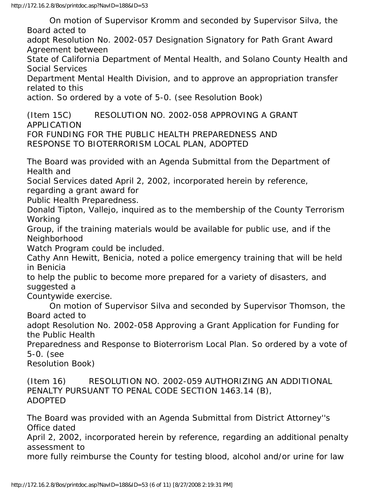On motion of Supervisor Kromm and seconded by Supervisor Silva, the Board acted to

adopt Resolution No. 2002-057 Designation Signatory for Path Grant Award Agreement between

State of California Department of Mental Health, and Solano County Health and Social Services

Department Mental Health Division, and to approve an appropriation transfer related to this

action. So ordered by a vote of 5-0. (see Resolution Book)

(Item 15C) RESOLUTION NO. 2002-058 APPROVING A GRANT APPLICATION FOR FUNDING FOR THE PUBLIC HEALTH PREPAREDNESS AND RESPONSE TO BIOTERRORISM LOCAL PLAN, ADOPTED

The Board was provided with an Agenda Submittal from the Department of Health and

Social Services dated April 2, 2002, incorporated herein by reference,

regarding a grant award for

Public Health Preparedness.

Donald Tipton, Vallejo, inquired as to the membership of the County Terrorism Working

Group, if the training materials would be available for public use, and if the Neighborhood

Watch Program could be included.

Cathy Ann Hewitt, Benicia, noted a police emergency training that will be held in Benicia

to help the public to become more prepared for a variety of disasters, and suggested a

Countywide exercise.

 On motion of Supervisor Silva and seconded by Supervisor Thomson, the Board acted to

adopt Resolution No. 2002-058 Approving a Grant Application for Funding for the Public Health

Preparedness and Response to Bioterrorism Local Plan. So ordered by a vote of 5-0. (see

Resolution Book)

(Item 16) RESOLUTION NO. 2002-059 AUTHORIZING AN ADDITIONAL PENALTY PURSUANT TO PENAL CODE SECTION 1463.14 (B), ADOPTED

The Board was provided with an Agenda Submittal from District Attorney''s Office dated

April 2, 2002, incorporated herein by reference, regarding an additional penalty assessment to

more fully reimburse the County for testing blood, alcohol and/or urine for law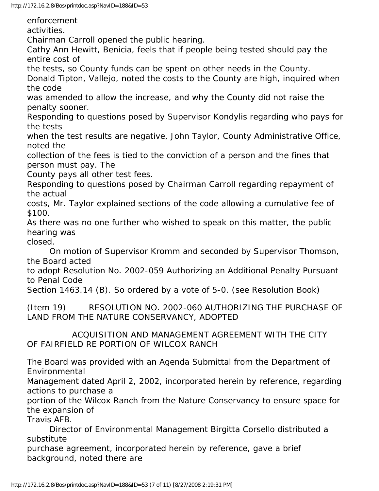http://172.16.2.8/Bos/printdoc.asp?NavID=188&ID=53

enforcement activities. Chairman Carroll opened the public hearing. Cathy Ann Hewitt, Benicia, feels that if people being tested should pay the entire cost of the tests, so County funds can be spent on other needs in the County. Donald Tipton, Vallejo, noted the costs to the County are high, inquired when the code was amended to allow the increase, and why the County did not raise the penalty sooner. Responding to questions posed by Supervisor Kondylis regarding who pays for the tests when the test results are negative, John Taylor, County Administrative Office, noted the collection of the fees is tied to the conviction of a person and the fines that person must pay. The County pays all other test fees. Responding to questions posed by Chairman Carroll regarding repayment of the actual costs, Mr. Taylor explained sections of the code allowing a cumulative fee of \$100. As there was no one further who wished to speak on this matter, the public hearing was closed. On motion of Supervisor Kromm and seconded by Supervisor Thomson, the Board acted to adopt Resolution No. 2002-059 Authorizing an Additional Penalty Pursuant to Penal Code Section 1463.14 (B). So ordered by a vote of 5-0. (see Resolution Book) (Item 19) RESOLUTION NO. 2002-060 AUTHORIZING THE PURCHASE OF LAND FROM THE NATURE CONSERVANCY, ADOPTED ACQUISITION AND MANAGEMENT AGREEMENT WITH THE CITY OF FAIRFIELD RE PORTION OF WILCOX RANCH The Board was provided with an Agenda Submittal from the Department of Environmental Management dated April 2, 2002, incorporated herein by reference, regarding actions to purchase a portion of the Wilcox Ranch from the Nature Conservancy to ensure space for

the expansion of Travis AFB.

 Director of Environmental Management Birgitta Corsello distributed a substitute

purchase agreement, incorporated herein by reference, gave a brief background, noted there are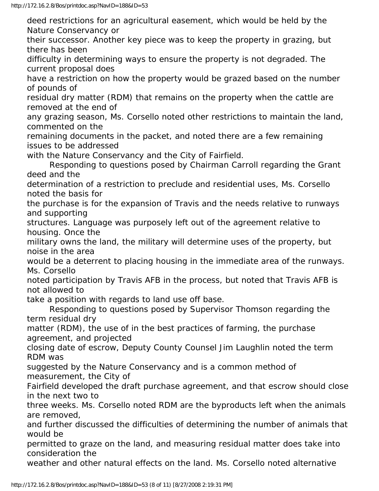deed restrictions for an agricultural easement, which would be held by the Nature Conservancy or

their successor. Another key piece was to keep the property in grazing, but there has been

difficulty in determining ways to ensure the property is not degraded. The current proposal does

have a restriction on how the property would be grazed based on the number of pounds of

residual dry matter (RDM) that remains on the property when the cattle are removed at the end of

any grazing season, Ms. Corsello noted other restrictions to maintain the land, commented on the

remaining documents in the packet, and noted there are a few remaining issues to be addressed

with the Nature Conservancy and the City of Fairfield.

 Responding to questions posed by Chairman Carroll regarding the Grant deed and the

determination of a restriction to preclude and residential uses, Ms. Corsello noted the basis for

the purchase is for the expansion of Travis and the needs relative to runways and supporting

structures. Language was purposely left out of the agreement relative to housing. Once the

military owns the land, the military will determine uses of the property, but noise in the area

would be a deterrent to placing housing in the immediate area of the runways. Ms. Corsello

noted participation by Travis AFB in the process, but noted that Travis AFB is not allowed to

take a position with regards to land use off base.

 Responding to questions posed by Supervisor Thomson regarding the term residual dry

matter (RDM), the use of in the best practices of farming, the purchase agreement, and projected

closing date of escrow, Deputy County Counsel Jim Laughlin noted the term RDM was

suggested by the Nature Conservancy and is a common method of measurement, the City of

Fairfield developed the draft purchase agreement, and that escrow should close in the next two to

three weeks. Ms. Corsello noted RDM are the byproducts left when the animals are removed,

and further discussed the difficulties of determining the number of animals that would be

permitted to graze on the land, and measuring residual matter does take into consideration the

weather and other natural effects on the land. Ms. Corsello noted alternative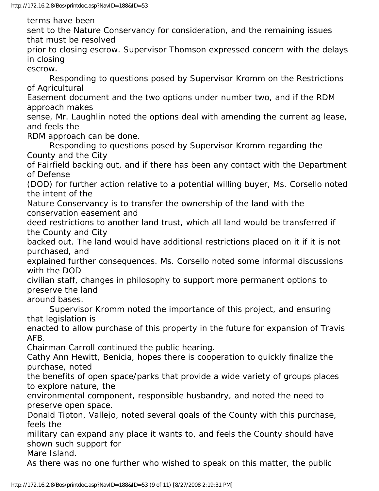terms have been

sent to the Nature Conservancy for consideration, and the remaining issues that must be resolved

prior to closing escrow. Supervisor Thomson expressed concern with the delays in closing

escrow.

 Responding to questions posed by Supervisor Kromm on the Restrictions of Agricultural

Easement document and the two options under number two, and if the RDM approach makes

sense, Mr. Laughlin noted the options deal with amending the current ag lease, and feels the

RDM approach can be done.

 Responding to questions posed by Supervisor Kromm regarding the County and the City

of Fairfield backing out, and if there has been any contact with the Department of Defense

(DOD) for further action relative to a potential willing buyer, Ms. Corsello noted the intent of the

Nature Conservancy is to transfer the ownership of the land with the conservation easement and

deed restrictions to another land trust, which all land would be transferred if the County and City

backed out. The land would have additional restrictions placed on it if it is not purchased, and

explained further consequences. Ms. Corsello noted some informal discussions with the DOD

civilian staff, changes in philosophy to support more permanent options to preserve the land

around bases.

 Supervisor Kromm noted the importance of this project, and ensuring that legislation is

enacted to allow purchase of this property in the future for expansion of Travis AFB.

Chairman Carroll continued the public hearing.

Cathy Ann Hewitt, Benicia, hopes there is cooperation to quickly finalize the purchase, noted

the benefits of open space/parks that provide a wide variety of groups places to explore nature, the

environmental component, responsible husbandry, and noted the need to preserve open space.

Donald Tipton, Vallejo, noted several goals of the County with this purchase, feels the

military can expand any place it wants to, and feels the County should have shown such support for

Mare Island.

As there was no one further who wished to speak on this matter, the public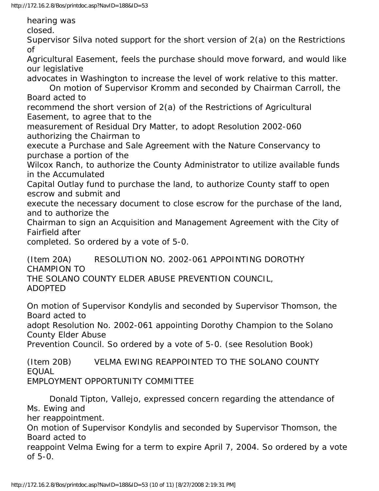hearing was

closed.

Supervisor Silva noted support for the short version of 2(a) on the Restrictions of

Agricultural Easement, feels the purchase should move forward, and would like our legislative

advocates in Washington to increase the level of work relative to this matter.

 On motion of Supervisor Kromm and seconded by Chairman Carroll, the Board acted to

recommend the short version of 2(a) of the Restrictions of Agricultural Easement, to agree that to the

measurement of Residual Dry Matter, to adopt Resolution 2002-060 authorizing the Chairman to

execute a Purchase and Sale Agreement with the Nature Conservancy to purchase a portion of the

Wilcox Ranch, to authorize the County Administrator to utilize available funds in the Accumulated

Capital Outlay fund to purchase the land, to authorize County staff to open escrow and submit and

execute the necessary document to close escrow for the purchase of the land, and to authorize the

Chairman to sign an Acquisition and Management Agreement with the City of Fairfield after

completed. So ordered by a vote of 5-0.

(Item 20A) RESOLUTION NO. 2002-061 APPOINTING DOROTHY CHAMPION TO THE SOLANO COUNTY ELDER ABUSE PREVENTION COUNCIL, ADOPTED

On motion of Supervisor Kondylis and seconded by Supervisor Thomson, the Board acted to

adopt Resolution No. 2002-061 appointing Dorothy Champion to the Solano County Elder Abuse

Prevention Council. So ordered by a vote of 5-0. (see Resolution Book)

(Item 20B) VELMA EWING REAPPOINTED TO THE SOLANO COUNTY EQUAL EMPLOYMENT OPPORTUNITY COMMITTEE

 Donald Tipton, Vallejo, expressed concern regarding the attendance of Ms. Ewing and

her reappointment.

On motion of Supervisor Kondylis and seconded by Supervisor Thomson, the Board acted to

reappoint Velma Ewing for a term to expire April 7, 2004. So ordered by a vote of 5-0.